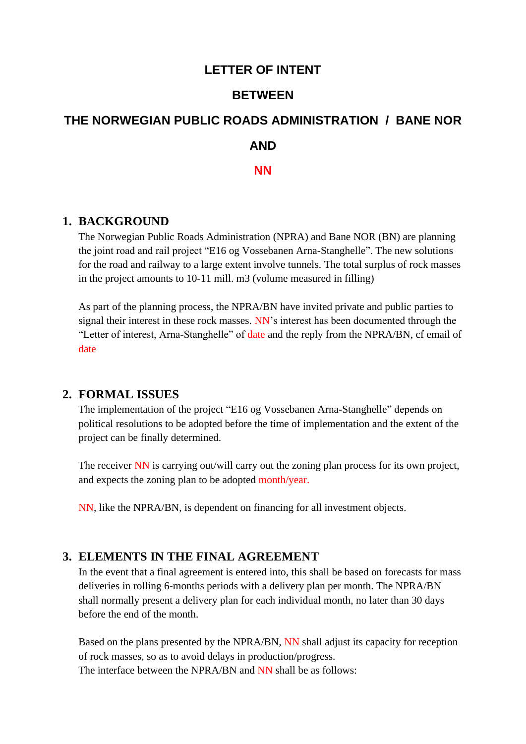## **LETTER OF INTENT**

#### **BETWEEN**

# **THE NORWEGIAN PUBLIC ROADS ADMINISTRATION / BANE NOR AND NN**

#### **1. BACKGROUND**

The Norwegian Public Roads Administration (NPRA) and Bane NOR (BN) are planning the joint road and rail project "E16 og Vossebanen Arna-Stanghelle". The new solutions for the road and railway to a large extent involve tunnels. The total surplus of rock masses in the project amounts to 10-11 mill. m3 (volume measured in filling)

As part of the planning process, the NPRA/BN have invited private and public parties to signal their interest in these rock masses. NN's interest has been documented through the "Letter of interest, Arna-Stanghelle" of date and the reply from the NPRA/BN, cf email of date

#### **2. FORMAL ISSUES**

The implementation of the project "E16 og Vossebanen Arna-Stanghelle" depends on political resolutions to be adopted before the time of implementation and the extent of the project can be finally determined.

The receiver NN is carrying out/will carry out the zoning plan process for its own project, and expects the zoning plan to be adopted month/year.

NN, like the NPRA/BN, is dependent on financing for all investment objects.

## **3. ELEMENTS IN THE FINAL AGREEMENT**

In the event that a final agreement is entered into, this shall be based on forecasts for mass deliveries in rolling 6-months periods with a delivery plan per month. The NPRA/BN shall normally present a delivery plan for each individual month, no later than 30 days before the end of the month.

Based on the plans presented by the NPRA/BN, NN shall adjust its capacity for reception of rock masses, so as to avoid delays in production/progress. The interface between the NPRA/BN and NN shall be as follows: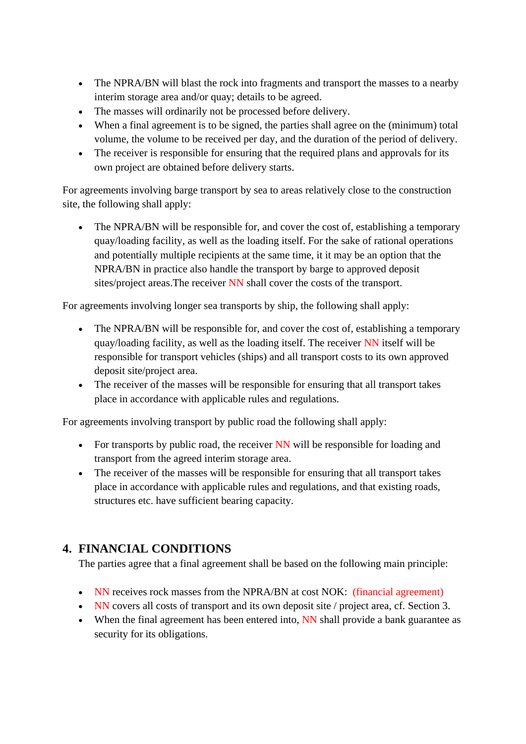- The NPRA/BN will blast the rock into fragments and transport the masses to a nearby interim storage area and/or quay; details to be agreed.
- The masses will ordinarily not be processed before delivery.
- When a final agreement is to be signed, the parties shall agree on the (minimum) total volume, the volume to be received per day, and the duration of the period of delivery.
- The receiver is responsible for ensuring that the required plans and approvals for its own project are obtained before delivery starts.

For agreements involving barge transport by sea to areas relatively close to the construction site, the following shall apply:

• The NPRA/BN will be responsible for, and cover the cost of, establishing a temporary quay/loading facility, as well as the loading itself. For the sake of rational operations and potentially multiple recipients at the same time, it it may be an option that the NPRA/BN in practice also handle the transport by barge to approved deposit sites/project areas. The receiver NN shall cover the costs of the transport.

For agreements involving longer sea transports by ship, the following shall apply:

- The NPRA/BN will be responsible for, and cover the cost of, establishing a temporary quay/loading facility, as well as the loading itself. The receiver NN itself will be responsible for transport vehicles (ships) and all transport costs to its own approved deposit site/project area.
- The receiver of the masses will be responsible for ensuring that all transport takes place in accordance with applicable rules and regulations.

For agreements involving transport by public road the following shall apply:

- For transports by public road, the receiver NN will be responsible for loading and transport from the agreed interim storage area.
- The receiver of the masses will be responsible for ensuring that all transport takes place in accordance with applicable rules and regulations, and that existing roads, structures etc. have sufficient bearing capacity.

# **4. FINANCIAL CONDITIONS**

The parties agree that a final agreement shall be based on the following main principle:

- NN receives rock masses from the NPRA/BN at cost NOK: (financial agreement)
- NN covers all costs of transport and its own deposit site / project area, cf. Section 3.
- When the final agreement has been entered into, NN shall provide a bank guarantee as security for its obligations.